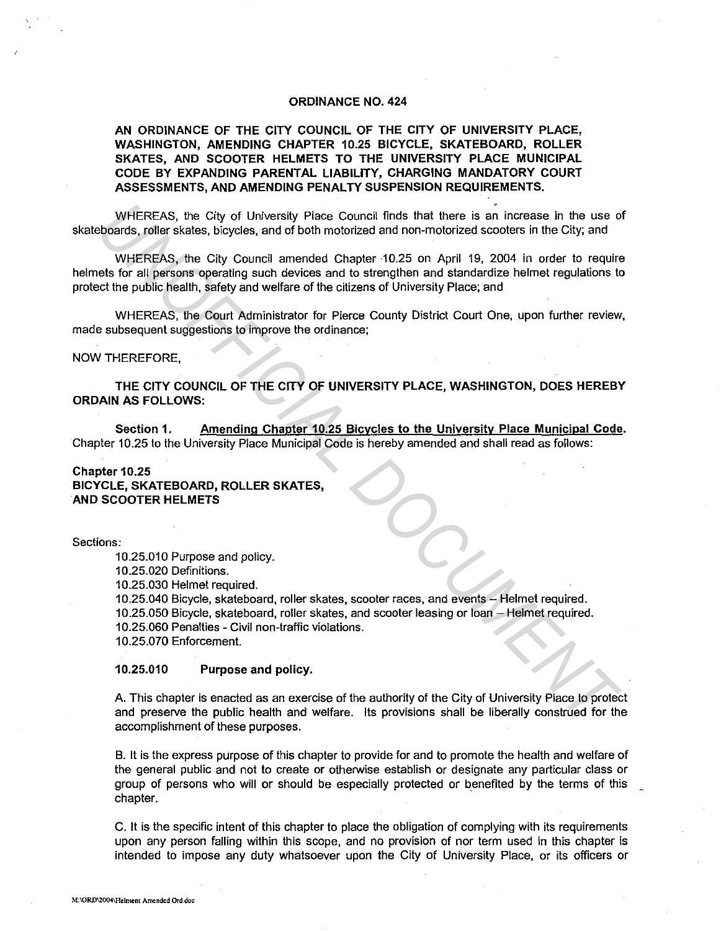### **ORDINANCE NO. 424**

# **AN ORDINANCE OF THE CITY COUNCIL OF THE CITY OF UNIVERSITY PLACE, WASHINGTON, AMENDING CHAPTER 10.25 BICYCLE, SKATEBOARD, ROLLER SKATES, AND SCOOTER HELMETS TO THE UNIVERSITY PLACE MUNICIPAL CODE BY EXPANDING PARENTAL LIABILITY, CHARGING MANDATORY COURT ASSESSMENTS, AND AMENDING PENALTY SUSPENSION REQUIREMENTS.**

WHEREAS, the City of University Place Council finds that there is an increase in the use of skateboards, roller skates, bicycles, and of both motorized and non-motorized scooters in the City; and

WHEREAS, the City Council amended Chapter 10.25 on April 19, 2004 in order to require helmets for all persons operating such devices and to strengthen and standardize helmet regulations to protect the public health, safety and welfare of the citizens of University Place; and

WHEREAS, the Court Administrator for Pierce County District Court One, upon further review, made subsequent suggestions to improve the ordinance;

#### NOW THEREFORE,

**THE CITY COUNCIL OF THE CITY OF UNIVERSITY PLACE, WASHINGTON, DOES HEREBY ORDAIN AS FOLLOWS:** 

**Section 1. Amending Chapter 10.25 Bicycles to the University Place Municipal Code.**  Chapter 10.25 to the University Place Municipal Code is hereby amended and shall read as follows:

## **Chapter 10.25 BICYCLE, SKATEBOARD, ROLLER SKATES, AND SCOOTER HELMETS**

Sections:

10.25.010 Purpose and policy.

10.25.020 Definitions.

10.25.030 Helmet required.

10.25.040 Bicycle, skateboard, roller skates, scooter races, and events - Helmet required. 10.25.050 Bicycle, skateboard, roller skates, and scooter leasing or loan - Helmet required. 10.25.060 Penalties - Civil non-traffic violations. WHEREAS, the City of University Place Council finds that there is an increase in the use o<br>boards, roller skates, bicycles, and of both motorized and non-motorized scoolers in the City, and<br>wHEREAS, the City Council amende

10.25.070 Enforcement.

### **10.25.010 Purpose and policy.**

A. This chapter is enacted as an exercise of the authority of the City of University Place to protect and preserve the public health and welfare. Its provisions shall be liberally construed for the accomplishment of these purposes.

B. It is the express purpose of this chapter to provide for and to promote the health and welfare of the general public and not to create or otherwise establish or designate any particular class or group of persons who will or should be especially protected or benefited by the terms of this chapter.

C. It is the specific intent of this chapter to place the obligation of complying with its requirements upon any person falling within this scope, and no provision of nor term used in this chapter is intended to impose any duty whatsoever upon the City of University Place, or its officers or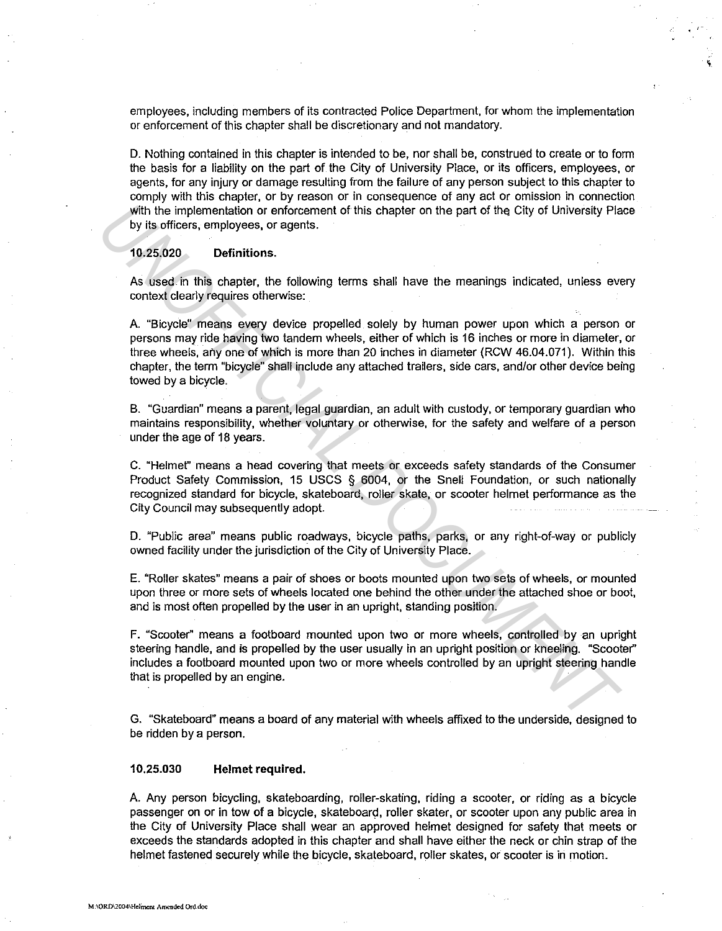employees, including members of its contracted Police Department, for whom the implementation or enforcement of this chapter shall be discretionary and not mandatory.

 $\frac{1}{2}$ .

D. Nothing contained in this chapter is intended to be, nor shall be, construed to create or to form the basis for a liability on the part of the City of University Place, or its officers, employees, or agents, for any injury or damage resulting from the failure of any person subject to this chapter to comply with this chapter, or by reason or in consequence of any act or omission in connection with the implementation or enforcement of this chapter on the part of the City of University Place by its officers, employees, or agents.

### **10.25.020 Definitions.**

As used. in this chapter, the following terms shall have the meanings indicated, unless every context clearly requires otherwise:

A. "Bicycle" means every device propelled solely by human power upon which a person or persons may ride having two tandem wheels, either of which is 16 inches or more in diameter, or three wheels, any one of which is more than 20 inches in diameter (RCW 46.04.071). Within this chapter, the term "bicycle" shall include any attached trailers, side cars, and/or other device being towed by a bicycle. with the implementation or enforcement of this chapter on the part of the City of University Pla<br> *UN Its officers, employees, or agents.*<br>
10.25,020 Definitions.<br>
As used in this chapter, the following terms shall have th

B. "Guardian" means a parent, legal guardian, an adult with custody, or temporary guardian who maintains responsibility, whether voluntary or otherwise, for the safety and welfare of a person under the age of 18 years.

C. "Helmet" means a head covering that meets or exceeds safety standards of the Consumer Product Safety Commission, 15 USCS § 6004, or the Snell Foundation, or such nationally recognized standard for bicycle, skateboard, roller skate, or scooter helmet performance as the City Council may subsequently adopt.

D. "Public area" means public roadways, bicycle paths, parks, or any right-of-way or publicly owned facility under the jurisdiction of the City of University Place.

E. "Roller skates" means a pair of shoes or boots mounted upon two sets of wheels, or mounted upon three or more sets of wheels located one behind the other under the attached shoe or boot, and is most often propelled by the user in an upright, standing position.

F. "Scooter'' means a footboard mounted upon two or more wheels, controlled by an upright steering handle, and is propelled by the user usually in an upright position or kneeling. "Scooter" includes a footboard mounted upon two or more wheels controlled by an upright steering handle that is propelled by an engine.

G. "Skateboard" means a board of any material with wheels affixed to the underside, designed to be ridden by a person.

## **10.25.030 Helmet required.**

A. Any person bicycling, skateboarding, roller-skating, riding a scooter, or riding as a bicycle passenger on or in tow of a bicycle, skateboard, roller skater, or scooter upon any public area in the City of University Place shall wear an approved helmet designed for safety that meets or exceeds the standards adopted in this chapter and shall have either the neck or chin strap of the helmet fastened securely while the bicycle, skateboard, roller skates, or scooter is in motion.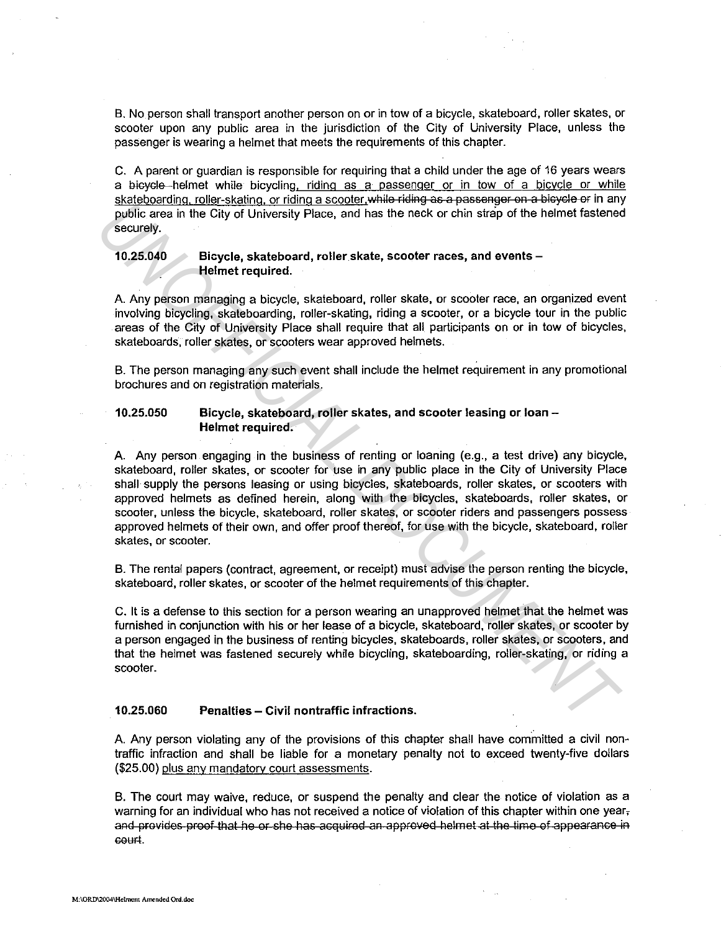B. No person shall transport another person on or in tow of a bicycle, skateboard, roller skates, or scooter upon any public area in the jurisdiction of the City of University Place, unless the passenger is wearing a helmet that meets the requirements of this chapter.

C. A parent or guardian is responsible for requiring that a child under the age of 16 years wears a bicycle helmet while bicycling. riding as a passenger or in tow of a bicycle or while skateboarding, roller-skating, or riding a scooter, while riding as a passenger on a bicycle or in any public area in the City of University Place, and has the neck or chin strap of the helmet fastened securely.

# 10.25.040 Bicycle, skateboard, roller skate, scooter races, and events - Helmet required.

A. Any person managing a bicycle, skateboard, roller skate, or scooter race, an organized event involving bicycling, skateboarding, roller-skating, riding a scooter, or a bicycle tour in the public areas of the City of University Place shall require that all participants on or in tow of bicycles, skateboards, roller skates, or scooters wear approved helmets.

B. The person managing any such event shall include the helmet requirement in any promotional brochures and on registration materials.

## 10.25.050 Bicycle, skateboard, roller skates, and scooter leasing or loan - Helmet required.

A. Any person engaging in the business of renting or loaning (e.g., a test drive) any bicycle, skateboard, roller skates, or scooter for use in any public place in the City of University Place shall supply the persons leasing or using bicycles, skateboards, roller skates, or scooters with approved helmets as defined herein, along with the bicycles, skateboards, roller skates, or scooter, unless the bicycle, skateboard, roller skates, or scooter riders and passengers possess approved helmets of their own, and offer proof thereof, for use with the bicycle, skateboard, roller skates, or scooter. **CONSERVING THE SERVE THE THAT ALT CONDUCTS** and the network of the believed the server of the server of the person mangging a bicycle, skateboard, roller skate, or scooler races, and ovents-<br> **Experiment required.**<br>
A. An

B. The rental papers (contract, agreement, or receipt) must advise the person renting the bicycle, skateboard, roller skates, or scooter of the helmet requirements of this chapter.

C. It is a defense to this section for a person wearing an unapproved helmet that the helmet was furnished in conjunction with his or her lease of a bicycle, skateboard, roller skates, or scooter by a person engaged in the business of renting bicycles, skateboards, roller skates, or scooters, and that the helmet was fastened securely while bicycling, skateboarding, roller-skating, or riding a scooter.

#### 10.25.060 Penalties - Civil nontraffic infractions.

A. Any person violating any of the provisions of this chapter shall have committed a civil nontraffic infraction and shall be liable for a monetary penalty not to exceed twenty-five dollars (\$25.00) plus any mandatory court assessments.

B. The court may waive, reduce, or suspend the penalty and clear the notice of violation as a warning for an individual who has not received a notice of violation of this chapter within one year, and provides proof that he or she has acquired an approved helmet at the time of appearance in GOUF!.